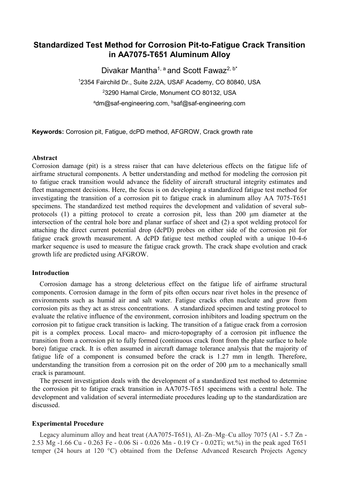# **Standardized Test Method for Corrosion Pit-to-Fatigue Crack Transition in AA7075-T651 Aluminum Alloy**

Divakar Mantha<sup>1, a</sup> and Scott Fawaz<sup>2, b\*</sup> <sup>1</sup>2354 Fairchild Dr., Suite 2J2A, USAF Academy, CO 80840, USA <sup>2</sup>3290 Hamal Circle, Monument CO 80132, USA <sup>a</sup>dm@saf-engineering.com, <sup>b</sup>saf@saf-engineering.com

**Keywords:** Corrosion pit, Fatigue, dcPD method, AFGROW, Crack growth rate

### **Abstract**

Corrosion damage (pit) is a stress raiser that can have deleterious effects on the fatigue life of airframe structural components. A better understanding and method for modeling the corrosion pit to fatigue crack transition would advance the fidelity of aircraft structural integrity estimates and fleet management decisions. Here, the focus is on developing a standardized fatigue test method for investigating the transition of a corrosion pit to fatigue crack in aluminum alloy AA 7075-T651 specimens. The standardized test method requires the development and validation of several subprotocols (1) a pitting protocol to create a corrosion pit, less than 200 μm diameter at the intersection of the central hole bore and planar surface of sheet and (2) a spot welding protocol for attaching the direct current potential drop (dcPD) probes on either side of the corrosion pit for fatigue crack growth measurement. A dcPD fatigue test method coupled with a unique 10-4-6 marker sequence is used to measure the fatigue crack growth. The crack shape evolution and crack growth life are predicted using AFGROW.

#### **Introduction**

Corrosion damage has a strong deleterious effect on the fatigue life of airframe structural components. Corrosion damage in the form of pits often occurs near rivet holes in the presence of environments such as humid air and salt water. Fatigue cracks often nucleate and grow from corrosion pits as they act as stress concentrations. A standardized specimen and testing protocol to evaluate the relative influence of the environment, corrosion inhibitors and loading spectrum on the corrosion pit to fatigue crack transition is lacking. The transition of a fatigue crack from a corrosion pit is a complex process. Local macro- and micro-topography of a corrosion pit influence the transition from a corrosion pit to fully formed (continuous crack front from the plate surface to hole bore) fatigue crack. It is often assumed in aircraft damage tolerance analysis that the majority of fatigue life of a component is consumed before the crack is 1.27 mm in length. Therefore, understanding the transition from a corrosion pit on the order of 200  $\mu$ m to a mechanically small crack is paramount.

The present investigation deals with the development of a standardized test method to determine the corrosion pit to fatigue crack transition in AA7075-T651 specimens with a central hole. The development and validation of several intermediate procedures leading up to the standardization are discussed.

#### **Experimental Procedure**

Legacy aluminum alloy and heat treat (AA7075-T651), Al–Zn–Mg–Cu alloy 7075 (Al - 5.7 Zn - 2.53 Mg -1.66 Cu - 0.263 Fe - 0.06 Si - 0.026 Mn - 0.19 Cr - 0.02Ti; wt.%) in the peak aged T651 temper (24 hours at 120 °C) obtained from the Defense Advanced Research Projects Agency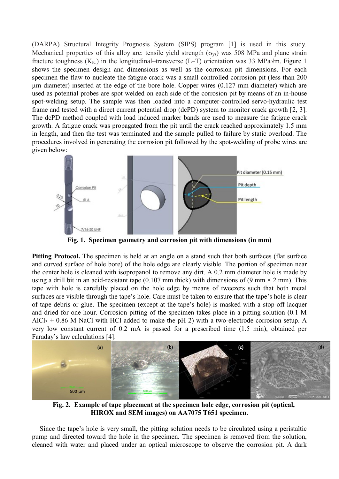(DARPA) Structural Integrity Prognosis System (SIPS) program [1] is used in this study. Mechanical properties of this alloy are: tensile yield strength  $(\sigma_{vs})$  was 508 MPa and plane strain fracture toughness ( $K_{IC}$ ) in the longitudinal–transverse (L–T) orientation was 33 MPa $\sqrt{m}$ . Figure 1 shows the specimen design and dimensions as well as the corrosion pit dimensions. For each specimen the flaw to nucleate the fatigue crack was a small controlled corrosion pit (less than 200 µm diameter) inserted at the edge of the bore hole. Copper wires (0.127 mm diameter) which are used as potential probes are spot welded on each side of the corrosion pit by means of an in-house spot-welding setup. The sample was then loaded into a computer-controlled servo-hydraulic test frame and tested with a direct current potential drop (dcPD) system to monitor crack growth [2, 3]. The dcPD method coupled with load induced marker bands are used to measure the fatigue crack growth. A fatigue crack was propagated from the pit until the crack reached approximately 1.5 mm in length, and then the test was terminated and the sample pulled to failure by static overload. The procedures involved in generating the corrosion pit followed by the spot-welding of probe wires are given below:



**Fig. 1. Specimen geometry and corrosion pit with dimensions (in mm)**

**Pitting Protocol.** The specimen is held at an angle on a stand such that both surfaces (flat surface and curved surface of hole bore) of the hole edge are clearly visible. The portion of specimen near the center hole is cleaned with isopropanol to remove any dirt. A 0.2 mm diameter hole is made by using a drill bit in an acid-resistant tape (0.107 mm thick) with dimensions of (9 mm  $\times$  2 mm). This tape with hole is carefully placed on the hole edge by means of tweezers such that both metal surfaces are visible through the tape's hole. Care must be taken to ensure that the tape's hole is clear of tape debris or glue. The specimen (except at the tape's hole) is masked with a stop-off lacquer and dried for one hour. Corrosion pitting of the specimen takes place in a pitting solution (0.1 M  $AICI<sub>3</sub> + 0.86$  M NaCl with HCl added to make the pH 2) with a two-electrode corrosion setup. A very low constant current of 0.2 mA is passed for a prescribed time (1.5 min), obtained per Faraday's law calculations [4].



 **Fig. 2. Example of tape placement at the specimen hole edge, corrosion pit (optical, HIROX and SEM images) on AA7075 T651 specimen.** 

Since the tape's hole is very small, the pitting solution needs to be circulated using a peristaltic pump and directed toward the hole in the specimen. The specimen is removed from the solution, cleaned with water and placed under an optical microscope to observe the corrosion pit. A dark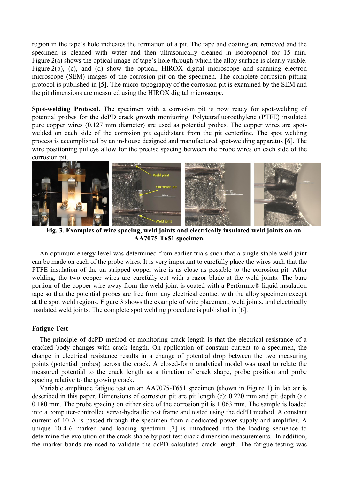region in the tape's hole indicates the formation of a pit. The tape and coating are removed and the specimen is cleaned with water and then ultrasonically cleaned in isopropanol for 15 min. Figure 2(a) shows the optical image of tape's hole through which the alloy surface is clearly visible. Figure 2(b), (c), and (d) show the optical, HIROX digital microscope and scanning electron microscope (SEM) images of the corrosion pit on the specimen. The complete corrosion pitting protocol is published in [5]. The micro-topography of the corrosion pit is examined by the SEM and the pit dimensions are measured using the HIROX digital microscope.

**Spot-welding Protocol.** The specimen with a corrosion pit is now ready for spot-welding of potential probes for the dcPD crack growth monitoring. Polytetrafluoroethylene (PTFE) insulated pure copper wires (0.127 mm diameter) are used as potential probes. The copper wires are spotwelded on each side of the corrosion pit equidistant from the pit centerline. The spot welding process is accomplished by an in-house designed and manufactured spot-welding apparatus [6]. The wire positioning pulleys allow for the precise spacing between the probe wires on each side of the corrosion pit.



 **Fig. 3. Examples of wire spacing, weld joints and electrically insulated weld joints on an AA7075-T651 specimen.** 

An optimum energy level was determined from earlier trials such that a single stable weld joint can be made on each of the probe wires. It is very important to carefully place the wires such that the PTFE insulation of the un-stripped copper wire is as close as possible to the corrosion pit. After welding, the two copper wires are carefully cut with a razor blade at the weld joints. The bare portion of the copper wire away from the weld joint is coated with a Performix® liquid insulation tape so that the potential probes are free from any electrical contact with the alloy specimen except at the spot weld regions. Figure 3 shows the example of wire placement, weld joints, and electrically insulated weld joints. The complete spot welding procedure is published in [6].

### **Fatigue Test**

The principle of dcPD method of monitoring crack length is that the electrical resistance of a cracked body changes with crack length. On application of constant current to a specimen, the change in electrical resistance results in a change of potential drop between the two measuring points (potential probes) across the crack. A closed-form analytical model was used to relate the measured potential to the crack length as a function of crack shape, probe position and probe spacing relative to the growing crack.

Variable amplitude fatigue test on an AA7075-T651 specimen (shown in Figure 1) in lab air is described in this paper. Dimensions of corrosion pit are pit length (c): 0.220 mm and pit depth (a): 0.180 mm. The probe spacing on either side of the corrosion pit is 1.063 mm. The sample is loaded into a computer-controlled servo-hydraulic test frame and tested using the dcPD method. A constant current of 10 A is passed through the specimen from a dedicated power supply and amplifier. A unique 10-4-6 marker band loading spectrum [7] is introduced into the loading sequence to determine the evolution of the crack shape by post-test crack dimension measurements. In addition, the marker bands are used to validate the dcPD calculated crack length. The fatigue testing was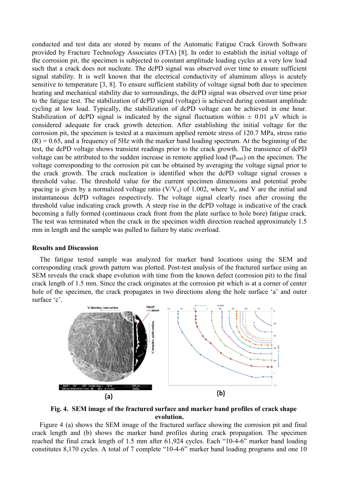conducted and test data are stored by means of the Automatic Fatigue Crack Growth Software provided by Fracture Technology Associates (FTA) [8]. In order to establish the initial voltage of the corrosion pit, the specimen is subjected to constant amplitude loading cycles at a very low load such that a crack does not nucleate. The dcPD signal was observed over time to ensure sufficient signal stability. It is well known that the electrical conductivity of aluminum alloys is acutely sensitive to temperature [3, 8]. To ensure sufficient stability of voltage signal both due to specimen heating and mechanical stability due to surroundings, the dcPD signal was observed over time prior to the fatigue test. The stabilization of dcPD signal (voltage) is achieved during constant amplitude cycling at low load. Typically, the stabilization of dcPD voltage can be achieved in one hour. Stabilization of dcPD signal is indicated by the signal fluctuation within  $\pm$  0.01  $\mu$ V which is considered adequate for crack growth detection. After establishing the initial voltage for the corrosion pit, the specimen is tested at a maximum applied remote stress of 120.7 MPa, stress ratio  $(R) = 0.65$ , and a frequency of 5Hz with the marker band loading spectrum. At the beginning of the test, the dcPD voltage shows transient readings prior to the crack growth. The transience of dcPD voltage can be attributed to the sudden increase in remote applied load  $(P_{max})$  on the specimen. The voltage corresponding to the corrosion pit can be obtained by averaging the voltage signal prior to the crack growth. The crack nucleation is identified when the dcPD voltage signal crosses a threshold value. The threshold value for the current specimen dimensions and potential probe spacing is given by a normalized voltage ratio  $(V/V_0)$  of 1.002, where  $V_0$  and V are the initial and instantaneous dcPD voltages respectively. The voltage signal clearly rises after crossing the threshold value indicating crack growth. A steep rise in the dcPD voltage is indicative of the crack becoming a fully formed (continuous crack front from the plate surface to hole bore) fatigue crack. The test was terminated when the crack in the specimen width direction reached approximately 1.5 mm in length and the sample was pulled to failure by static overload.

### **Results and Discussion**

The fatigue tested sample was analyzed for marker band locations using the SEM and corresponding crack growth pattern was plotted. Post-test analysis of the fractured surface using an SEM reveals the crack shape evolution with time from the known defect (corrosion pit) to the final crack length of 1.5 mm. Since the crack originates at the corrosion pit which is at a corner of center hole of the specimen, the crack propagates in two directions along the hole surface 'a' and outer surface 'c'.



 **Fig. 4. SEM image of the fractured surface and marker band profiles of crack shape evolution.** 

Figure 4 (a) shows the SEM image of the fractured surface showing the corrosion pit and final crack length and (b) shows the marker band profiles during crack propagation. The specimen reached the final crack length of 1.5 mm after 61,924 cycles. Each "10-4-6" marker band loading constitutes 8,170 cycles. A total of 7 complete "10-4-6" marker band loading programs and one 10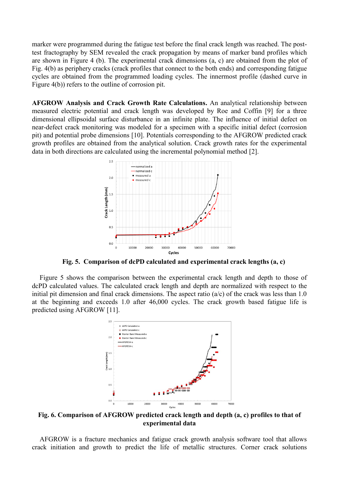marker were programmed during the fatigue test before the final crack length was reached. The posttest fractography by SEM revealed the crack propagation by means of marker band profiles which are shown in Figure 4 (b). The experimental crack dimensions (a, c) are obtained from the plot of Fig. 4(b) as periphery cracks (crack profiles that connect to the both ends) and corresponding fatigue cycles are obtained from the programmed loading cycles. The innermost profile (dashed curve in Figure 4(b)) refers to the outline of corrosion pit.

**AFGROW Analysis and Crack Growth Rate Calculations.** An analytical relationship between measured electric potential and crack length was developed by Roe and Coffin [9] for a three dimensional ellipsoidal surface disturbance in an infinite plate. The influence of initial defect on near-defect crack monitoring was modeled for a specimen with a specific initial defect (corrosion pit) and potential probe dimensions [10]. Potentials corresponding to the AFGROW predicted crack growth profiles are obtained from the analytical solution. Crack growth rates for the experimental data in both directions are calculated using the incremental polynomial method [2].



**Fig. 5. Comparison of dcPD calculated and experimental crack lengths (a, c)** 

Figure 5 shows the comparison between the experimental crack length and depth to those of dcPD calculated values. The calculated crack length and depth are normalized with respect to the initial pit dimension and final crack dimensions. The aspect ratio  $(a/c)$  of the crack was less than 1.0 at the beginning and exceeds 1.0 after 46,000 cycles. The crack growth based fatigue life is predicted using AFGROW [11].



**Fig. 6. Comparison of AFGROW predicted crack length and depth (a, c) profiles to that of experimental data** 

AFGROW is a fracture mechanics and fatigue crack growth analysis software tool that allows crack initiation and growth to predict the life of metallic structures. Corner crack solutions